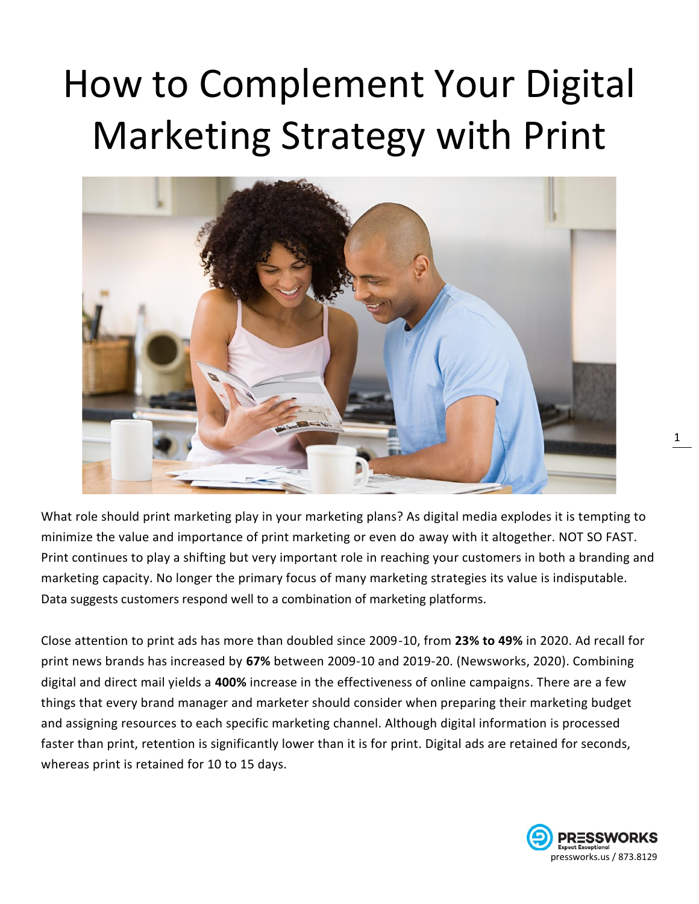# How to Complement Your Digital Marketing Strategy with Print



What role should print marketing play in your marketing plans? As digital media explodes it is tempting to minimize the value and importance of print marketing or even do away with it altogether. NOT SO FAST. Print continues to play a shifting but very important role in reaching your customers in both a branding and marketing capacity. No longer the primary focus of many marketing strategies its value is indisputable. Data suggests customers respond well to a combination of marketing platforms.

Close attention to print ads has more than doubled since 2009-10, from **23% to 49%** in 2020. Ad recall for print news brands has increased by **67%** between 2009-10 and 2019-20. (Newsworks, 2020). Combining digital and direct mail yields a **400%** increase in the effectiveness of online campaigns. There are a few things that every brand manager and marketer should consider when preparing their marketing budget and assigning resources to each specific marketing channel. Although digital information is processed faster than print, retention is significantly lower than it is for print. Digital ads are retained for seconds, whereas print is retained for 10 to 15 days.

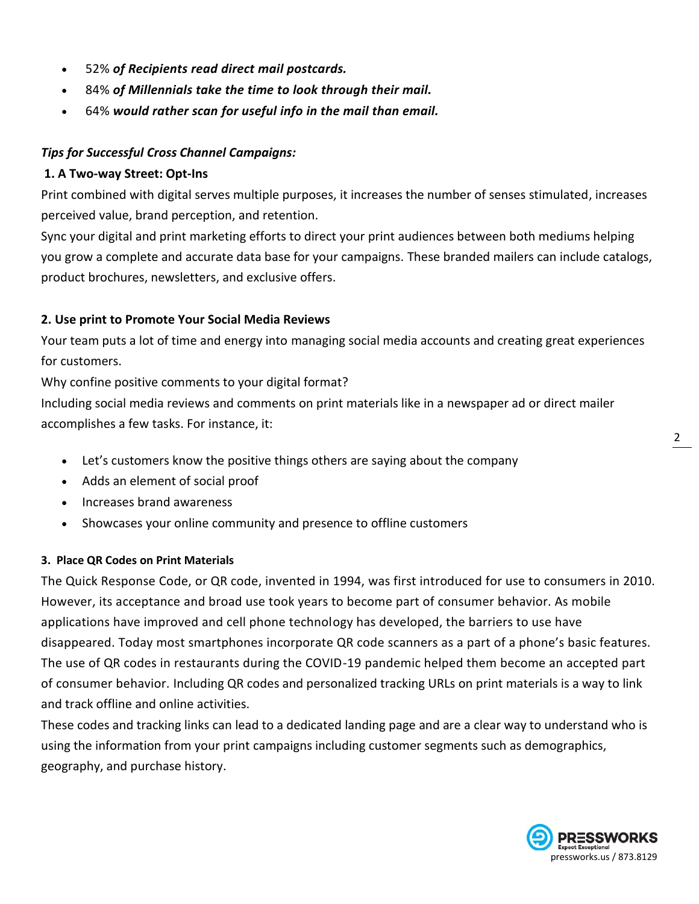- 52% *of Recipients read direct mail postcards.*
- 84% *of Millennials take the time to look through their mail.*
- 64% *would rather scan for useful info in the mail than email.*

#### *Tips for Successful Cross Channel Campaigns:*

#### **1. A Two-way Street: Opt-Ins**

Print combined with digital serves multiple purposes, it increases the number of senses stimulated, increases perceived value, brand perception, and retention.

Sync your digital and print marketing efforts to direct your print audiences between both mediums helping you grow a complete and accurate data base for your campaigns. These branded mailers can include catalogs, product brochures, newsletters, and exclusive offers.

#### **2. Use print to Promote Your Social Media Reviews**

Your team puts a lot of time and energy into managing social media accounts and creating great experiences for customers.

Why confine positive comments to your digital format?

Including social media reviews and comments on print materials like in a newspaper ad or direct mailer accomplishes a few tasks. For instance, it:

- Let's customers know the positive things others are saying about the company
- Adds an element of social proof
- Increases brand awareness
- Showcases your online community and presence to offline customers

#### **3. Place QR Codes on Print Materials**

The Quick Response Code, or QR code, invented in 1994, was first introduced for use to consumers in 2010. However, its acceptance and broad use took years to become part of consumer behavior. As mobile applications have improved and cell phone technology has developed, the barriers to use have disappeared. Today most smartphones incorporate QR code scanners as a part of a phone's basic features. The use of QR codes in restaurants during the COVID-19 pandemic helped them become an accepted part of consumer behavior. Including QR codes and personalized tracking URLs on print materials is a way to link and track offline and online activities.

These codes and tracking links can lead to a dedicated landing page and are a clear way to understand who is using the information from your print campaigns including customer segments such as demographics, geography, and purchase history.

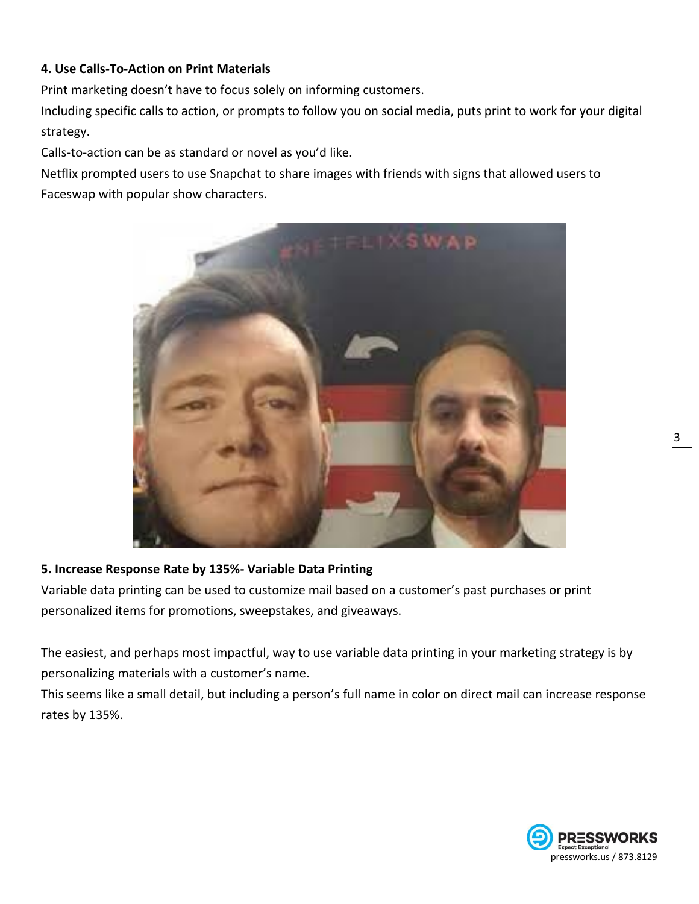#### **4. Use Calls-To-Action on Print Materials**

Print marketing doesn't have to focus solely on informing customers.

Including specific calls to action, or prompts to follow you on social media, puts print to work for your digital strategy.

Calls-to-action can be as standard or novel as you'd like.

Netflix prompted users to use Snapchat to share images with friends with signs that allowed users to Faceswap with popular show characters.



#### **5. Increase Response Rate by 135%- Variable Data Printing**

Variable data printing can be used to customize mail based on a customer's past purchases or print personalized items for promotions, sweepstakes, and giveaways.

The easiest, and perhaps most impactful, way to use variable data printing in your marketing strategy is by personalizing materials with a customer's name.

This seems like a small detail, but including a person's full name in color on direct mail can increase response rates by 135%.

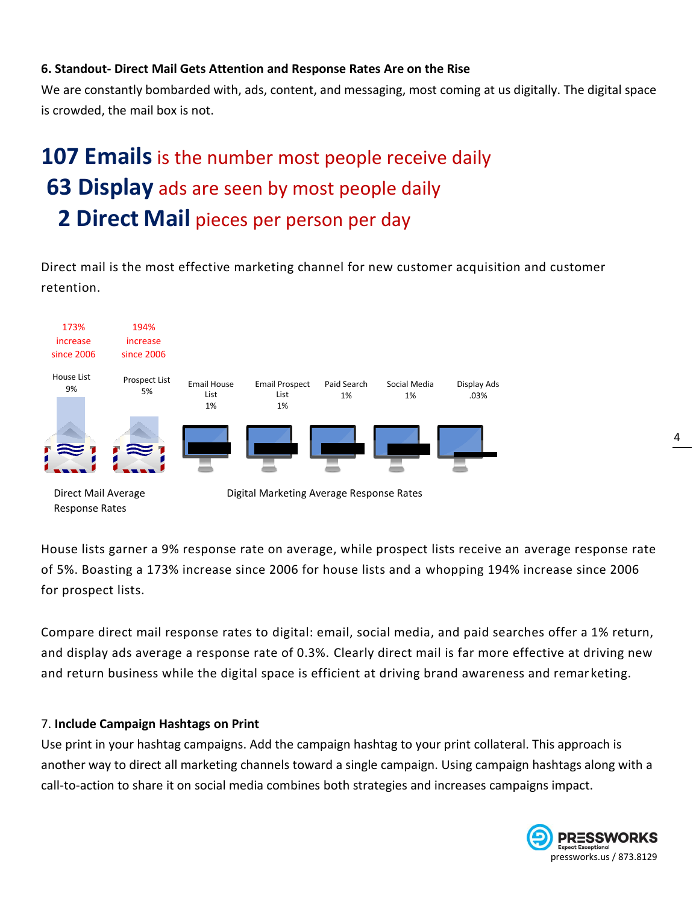#### **6. Standout- Direct Mail Gets Attention and Response Rates Are on the Rise**

We are constantly bombarded with, ads, content, and messaging, most coming at us digitally. The digital space is crowded, the mail box is not.

## **107 Emails** is the number most people receive daily **63 Display** ads are seen by most people daily  **2 Direct Mail** pieces per person per day

Direct mail is the most effective marketing channel for new customer acquisition and customer retention.



House lists garner a 9% response rate on average, while prospect lists receive an average response rate of 5%. Boasting a 173% increase since 2006 for house lists and a whopping 194% increase since 2006 for prospect lists.

Compare direct mail response rates to digital: email, social media, and paid searches offer a 1% return, and display ads average a response rate of 0.3%. Clearly direct mail is far more effective at driving new and return business while the digital space is efficient at driving brand awareness and remar keting.

#### 7. **Include Campaign Hashtags on Print**

Use print in your hashtag campaigns. Add the campaign hashtag to your print collateral. This approach is another way to direct all marketing channels toward a single campaign. Using campaign hashtags along with a call-to-action to share it on social media combines both strategies and increases campaigns impact.

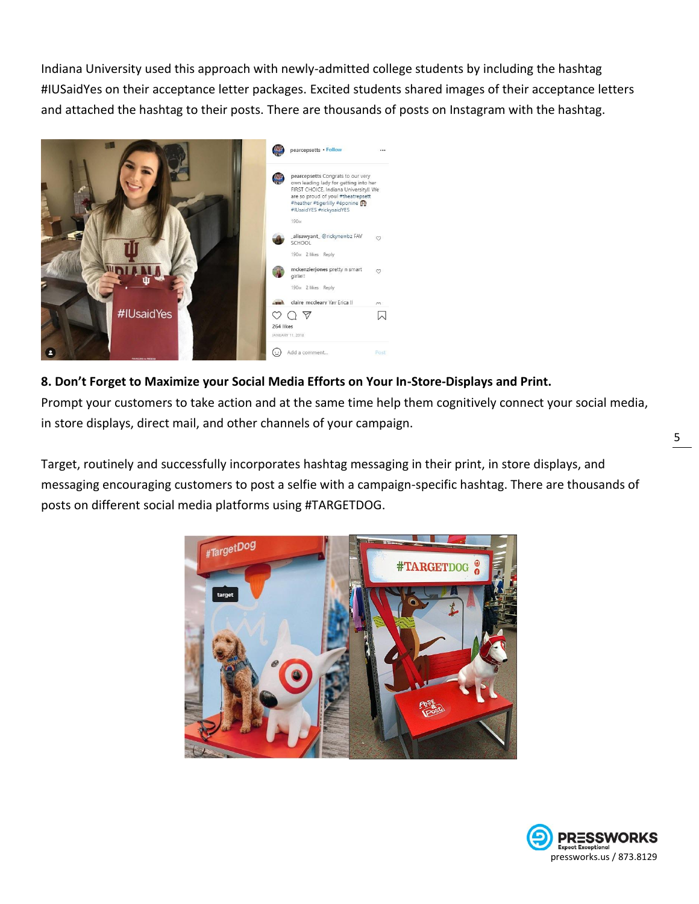Indiana University used this approach with newly-admitted college students by including the hashtag #IUSaidYes on their acceptance letter packages. Excited students shared images of their acceptance letters and attached the hashtag to their posts. There are thousands of posts on Instagram with the hashtag.



#### **8. Don't Forget to Maximize your Social Media Efforts on Your In-Store-Displays and Print.**

Prompt your customers to take action and at the same time help them cognitively connect your social media, in store displays, direct mail, and other channels of your campaign.

Target, routinely and successfully incorporates hashtag messaging in their print, in store displays, and messaging encouraging customers to post a selfie with a campaign-specific hashtag. There are thousands of posts on different social media platforms using #TARGETDOG.